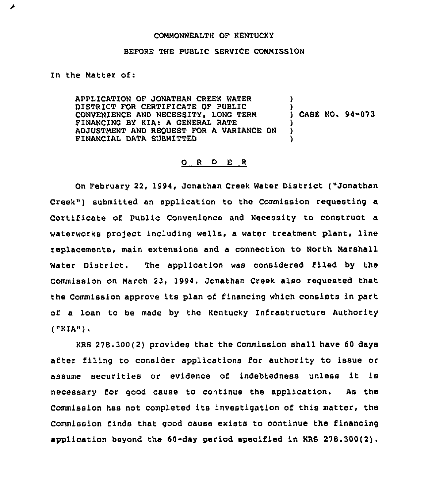## COMMONWEALTH OF kENTUCKY

## BEFORE THE PUBLIC SERVICE COMMISSION

## In the Matter of:

ø

APPLICATION OF JONATHAN CREEk MATER DISTRICT FOR CERTIFICATE OF PUBLIC CONVENIENCE AND NECESSITY, LONG TERM FINANCING BY KIA: A GENERAL RATE ADJUSTMENT AND REQUEST FOR A VARIANCE ON FINANCIAL DATA SUBMITTED ) )<br>) CASE NO. 94-073 ) )

## 0 <sup>R</sup> <sup>D</sup> E <sup>R</sup>

On February 22, 1994, Jonathan Creek Water District ("Jonathan Creek") submitted an application to the Commission requesting a Certificate of Public Convenience and Necessity to construct a waterworks project including wells, a water treatment plant, line replacements, main extensions and a connection to North Marshall Mater District. The application was considered filed by the Commission on March 23, 1994. Jonathan Creek also requested that the Commission approve its plan of financing which consists in part of a loan to be made by the Kentucky Infrastructure Authority ("KIA")

KRS 278.300(2) provides that the Commission shall have 60 days after filing to consider applications for authority to issue or assume securities or evidence of indebtedness unless it is necessary for good cause to continue the application. As the Commission has not completed its investigation of this matter, the Commission finds that good cause exists to continue the financing application beyond the  $60$ -day period specified in KRS  $278.300(2)$ .